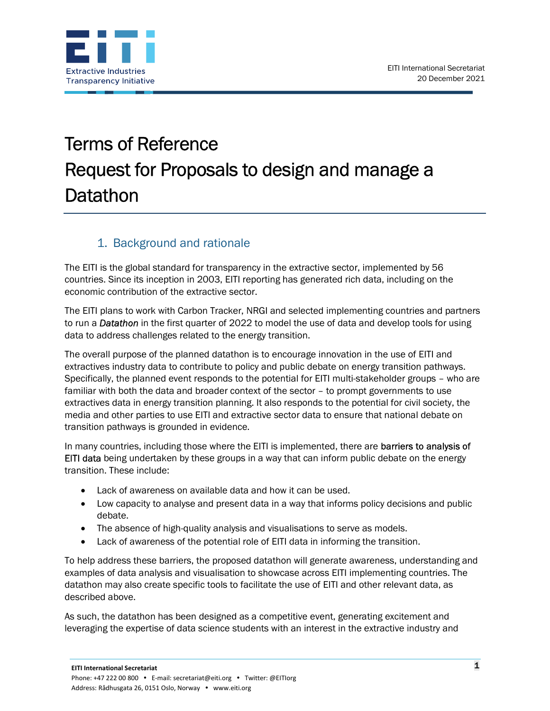

# Terms of Reference Request for Proposals to design and manage a **Datathon**

## 1. Background and rationale

The EITI is the global standard for transparency in the extractive sector, implemented by 56 countries. Since its inception in 2003, EITI reporting has generated rich data, including on the economic contribution of the extractive sector.

The EITI plans to work with Carbon Tracker, NRGI and selected implementing countries and partners to run a **Datathon** in the first quarter of 2022 to model the use of data and develop tools for using data to address challenges related to the energy transition.

The overall purpose of the planned datathon is to encourage innovation in the use of EITI and extractives industry data to contribute to policy and public debate on energy transition pathways. Specifically, the planned event responds to the potential for EITI multi-stakeholder groups – who are familiar with both the data and broader context of the sector – to prompt governments to use extractives data in energy transition planning. It also responds to the potential for civil society, the media and other parties to use EITI and extractive sector data to ensure that national debate on transition pathways is grounded in evidence.

In many countries, including those where the EITI is implemented, there are **barriers to analysis of** EITI data being undertaken by these groups in a way that can inform public debate on the energy transition. These include:

- Lack of awareness on available data and how it can be used.
- Low capacity to analyse and present data in a way that informs policy decisions and public debate.
- The absence of high-quality analysis and visualisations to serve as models.
- Lack of awareness of the potential role of EITI data in informing the transition.

To help address these barriers, the proposed datathon will generate awareness, understanding and examples of data analysis and visualisation to showcase across EITI implementing countries. The datathon may also create specific tools to facilitate the use of EITI and other relevant data, as described above.

As such, the datathon has been designed as a competitive event, generating excitement and leveraging the expertise of data science students with an interest in the extractive industry and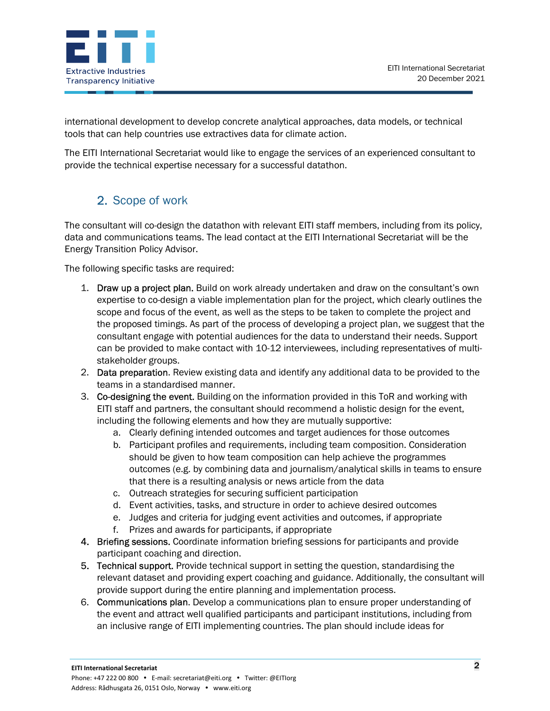

international development to develop concrete analytical approaches, data models, or technical tools that can help countries use extractives data for climate action.

The EITI International Secretariat would like to engage the services of an experienced consultant to provide the technical expertise necessary for a successful datathon.

# 2. Scope of work

The consultant will co-design the datathon with relevant EITI staff members, including from its policy, data and communications teams. The lead contact at the EITI International Secretariat will be the Energy Transition Policy Advisor.

The following specific tasks are required:

- 1. Draw up a project plan. Build on work already undertaken and draw on the consultant's own expertise to co-design a viable implementation plan for the project, which clearly outlines the scope and focus of the event, as well as the steps to be taken to complete the project and the proposed timings. As part of the process of developing a project plan, we suggest that the consultant engage with potential audiences for the data to understand their needs. Support can be provided to make contact with 10-12 interviewees, including representatives of multistakeholder groups.
- 2. Data preparation. Review existing data and identify any additional data to be provided to the teams in a standardised manner.
- 3. Co-designing the event. Building on the information provided in this ToR and working with EITI staff and partners, the consultant should recommend a holistic design for the event, including the following elements and how they are mutually supportive:
	- a. Clearly defining intended outcomes and target audiences for those outcomes
	- b. Participant profiles and requirements, including team composition. Consideration should be given to how team composition can help achieve the programmes outcomes (e.g. by combining data and journalism/analytical skills in teams to ensure that there is a resulting analysis or news article from the data
	- c. Outreach strategies for securing sufficient participation
	- d. Event activities, tasks, and structure in order to achieve desired outcomes
	- e. Judges and criteria for judging event activities and outcomes, if appropriate
	- f. Prizes and awards for participants, if appropriate
- 4. Briefing sessions. Coordinate information briefing sessions for participants and provide participant coaching and direction.
- 5. Technical support. Provide technical support in setting the question, standardising the relevant dataset and providing expert coaching and guidance. Additionally, the consultant will provide support during the entire planning and implementation process.
- 6. Communications plan. Develop a communications plan to ensure proper understanding of the event and attract well qualified participants and participant institutions, including from an inclusive range of EITI implementing countries. The plan should include ideas for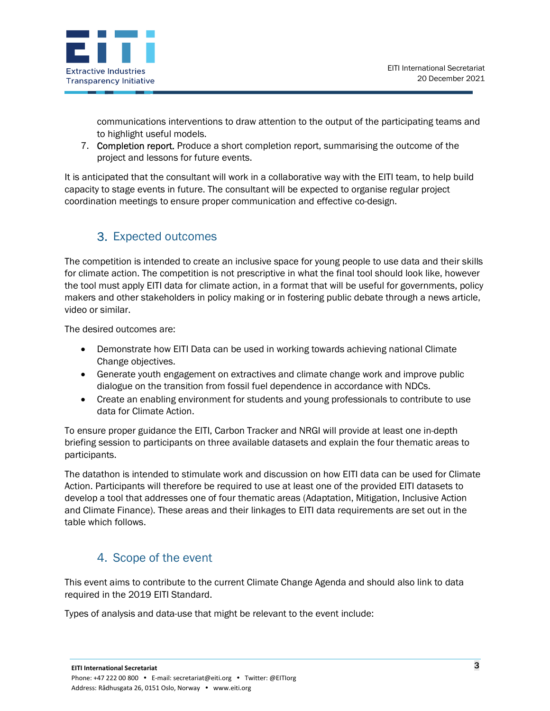

communications interventions to draw attention to the output of the participating teams and to highlight useful models.

7. Completion report. Produce a short completion report, summarising the outcome of the project and lessons for future events.

It is anticipated that the consultant will work in a collaborative way with the EITI team, to help build capacity to stage events in future. The consultant will be expected to organise regular project coordination meetings to ensure proper communication and effective co-design.

# 3. Expected outcomes

The competition is intended to create an inclusive space for young people to use data and their skills for climate action. The competition is not prescriptive in what the final tool should look like, however the tool must apply EITI data for climate action, in a format that will be useful for governments, policy makers and other stakeholders in policy making or in fostering public debate through a news article, video or similar.

The desired outcomes are:

- Demonstrate how EITI Data can be used in working towards achieving national Climate Change objectives.
- Generate youth engagement on extractives and climate change work and improve public dialogue on the transition from fossil fuel dependence in accordance with NDCs.
- Create an enabling environment for students and young professionals to contribute to use data for Climate Action.

To ensure proper guidance the EITI, Carbon Tracker and NRGI will provide at least one in-depth briefing session to participants on three available datasets and explain the four thematic areas to participants.

The datathon is intended to stimulate work and discussion on how EITI data can be used for Climate Action. Participants will therefore be required to use at least one of the provided EITI datasets to develop a tool that addresses one of four thematic areas (Adaptation, Mitigation, Inclusive Action and Climate Finance). These areas and their linkages to EITI data requirements are set out in the table which follows.

## 4. Scope of the event

This event aims to contribute to the current Climate Change Agenda and should also link to data required in the 2019 EITI Standard.

Types of analysis and data-use that might be relevant to the event include: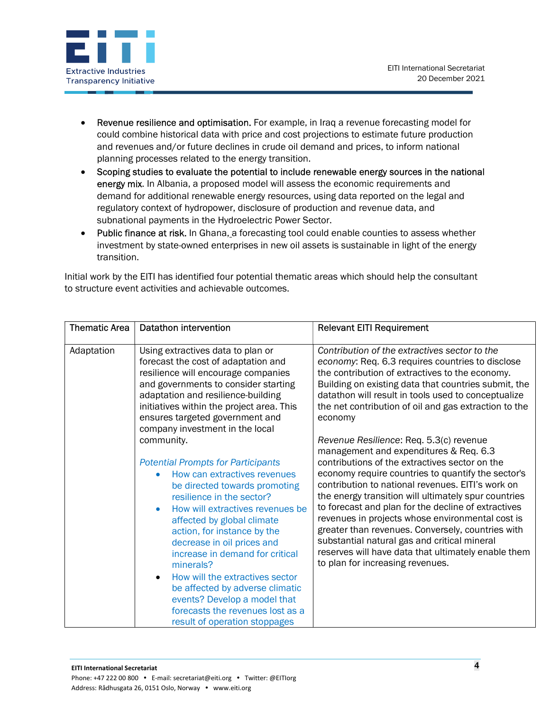

- Revenue resilience and optimisation. For example, in Iraq a revenue forecasting model for could combine historical data with price and cost projections to estimate future production and revenues and/or future declines in crude oil demand and prices, to inform national planning processes related to the energy transition.
- Scoping studies to evaluate the potential to include renewable energy sources in the national energy mix. In Albania, a proposed model will assess the economic requirements and demand for additional renewable energy resources, using data reported on the legal and regulatory context of hydropower, disclosure of production and revenue data, and subnational payments in the Hydroelectric Power Sector.
- Public finance at risk. In Ghana, a forecasting tool could enable counties to assess whether investment by state-owned enterprises in new oil assets is sustainable in light of the energy transition.

Initial work by the EITI has identified four potential thematic areas which should help the consultant to structure event activities and achievable outcomes.

| <b>Thematic Area</b> | Datathon intervention                                                                                                                                                                                                                                                                                                                                                                                                                                                                                                                                                                                                                                                                                                                                                                                                                            | <b>Relevant EITI Requirement</b>                                                                                                                                                                                                                                                                                                                                                                                                                                                                                                                                                                                                                                                                                                                                                                                                                                                                                                                             |
|----------------------|--------------------------------------------------------------------------------------------------------------------------------------------------------------------------------------------------------------------------------------------------------------------------------------------------------------------------------------------------------------------------------------------------------------------------------------------------------------------------------------------------------------------------------------------------------------------------------------------------------------------------------------------------------------------------------------------------------------------------------------------------------------------------------------------------------------------------------------------------|--------------------------------------------------------------------------------------------------------------------------------------------------------------------------------------------------------------------------------------------------------------------------------------------------------------------------------------------------------------------------------------------------------------------------------------------------------------------------------------------------------------------------------------------------------------------------------------------------------------------------------------------------------------------------------------------------------------------------------------------------------------------------------------------------------------------------------------------------------------------------------------------------------------------------------------------------------------|
| Adaptation           | Using extractives data to plan or<br>forecast the cost of adaptation and<br>resilience will encourage companies<br>and governments to consider starting<br>adaptation and resilience-building<br>initiatives within the project area. This<br>ensures targeted government and<br>company investment in the local<br>community.<br><b>Potential Prompts for Participants</b><br>How can extractives revenues<br>be directed towards promoting<br>resilience in the sector?<br>How will extractives revenues be<br>affected by global climate<br>action, for instance by the<br>decrease in oil prices and<br>increase in demand for critical<br>minerals?<br>How will the extractives sector<br>$\bullet$<br>be affected by adverse climatic<br>events? Develop a model that<br>forecasts the revenues lost as a<br>result of operation stoppages | Contribution of the extractives sector to the<br>economy: Req. 6.3 requires countries to disclose<br>the contribution of extractives to the economy.<br>Building on existing data that countries submit, the<br>datathon will result in tools used to conceptualize<br>the net contribution of oil and gas extraction to the<br>economy<br>Revenue Resilience: Req. 5.3(c) revenue<br>management and expenditures & Req. 6.3<br>contributions of the extractives sector on the<br>economy require countries to quantify the sector's<br>contribution to national revenues. EITI's work on<br>the energy transition will ultimately spur countries<br>to forecast and plan for the decline of extractives<br>revenues in projects whose environmental cost is<br>greater than revenues. Conversely, countries with<br>substantial natural gas and critical mineral<br>reserves will have data that ultimately enable them<br>to plan for increasing revenues. |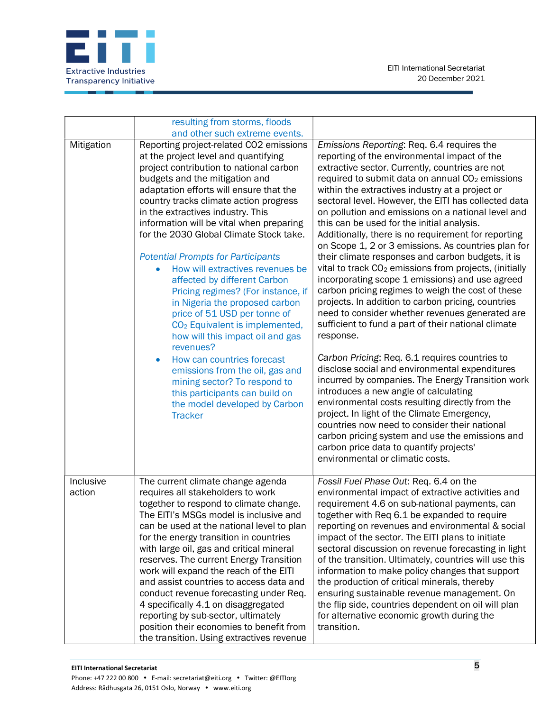

|                     | resulting from storms, floods<br>and other such extreme events.                                                                                                                                                                                                                                                                                                                                                                                                                                                                                                                                                                                                                                                                                                                                                                                                                                          |                                                                                                                                                                                                                                                                                                                                                                                                                                                                                                                                                                                                                                                                                                                                                                                                                                                                                                                                                                                                                                                                                                                                                                                                                                                                                                                                                                                                                                                  |
|---------------------|----------------------------------------------------------------------------------------------------------------------------------------------------------------------------------------------------------------------------------------------------------------------------------------------------------------------------------------------------------------------------------------------------------------------------------------------------------------------------------------------------------------------------------------------------------------------------------------------------------------------------------------------------------------------------------------------------------------------------------------------------------------------------------------------------------------------------------------------------------------------------------------------------------|--------------------------------------------------------------------------------------------------------------------------------------------------------------------------------------------------------------------------------------------------------------------------------------------------------------------------------------------------------------------------------------------------------------------------------------------------------------------------------------------------------------------------------------------------------------------------------------------------------------------------------------------------------------------------------------------------------------------------------------------------------------------------------------------------------------------------------------------------------------------------------------------------------------------------------------------------------------------------------------------------------------------------------------------------------------------------------------------------------------------------------------------------------------------------------------------------------------------------------------------------------------------------------------------------------------------------------------------------------------------------------------------------------------------------------------------------|
| Mitigation          | Reporting project-related CO2 emissions<br>at the project level and quantifying<br>project contribution to national carbon<br>budgets and the mitigation and<br>adaptation efforts will ensure that the<br>country tracks climate action progress<br>in the extractives industry. This<br>information will be vital when preparing<br>for the 2030 Global Climate Stock take.<br><b>Potential Prompts for Participants</b><br>How will extractives revenues be<br>affected by different Carbon<br>Pricing regimes? (For instance, if<br>in Nigeria the proposed carbon<br>price of 51 USD per tonne of<br>CO <sub>2</sub> Equivalent is implemented,<br>how will this impact oil and gas<br>revenues?<br>How can countries forecast<br>$\bullet$<br>emissions from the oil, gas and<br>mining sector? To respond to<br>this participants can build on<br>the model developed by Carbon<br><b>Tracker</b> | Emissions Reporting: Req. 6.4 requires the<br>reporting of the environmental impact of the<br>extractive sector. Currently, countries are not<br>required to submit data on annual CO <sub>2</sub> emissions<br>within the extractives industry at a project or<br>sectoral level. However, the EITI has collected data<br>on pollution and emissions on a national level and<br>this can be used for the initial analysis.<br>Additionally, there is no requirement for reporting<br>on Scope 1, 2 or 3 emissions. As countries plan for<br>their climate responses and carbon budgets, it is<br>vital to track CO <sub>2</sub> emissions from projects, (initially<br>incorporating scope 1 emissions) and use agreed<br>carbon pricing regimes to weigh the cost of these<br>projects. In addition to carbon pricing, countries<br>need to consider whether revenues generated are<br>sufficient to fund a part of their national climate<br>response.<br>Carbon Pricing: Req. 6.1 requires countries to<br>disclose social and environmental expenditures<br>incurred by companies. The Energy Transition work<br>introduces a new angle of calculating<br>environmental costs resulting directly from the<br>project. In light of the Climate Emergency,<br>countries now need to consider their national<br>carbon pricing system and use the emissions and<br>carbon price data to quantify projects'<br>environmental or climatic costs. |
| Inclusive<br>action | The current climate change agenda<br>requires all stakeholders to work<br>together to respond to climate change.<br>The EITI's MSGs model is inclusive and<br>can be used at the national level to plan<br>for the energy transition in countries<br>with large oil, gas and critical mineral<br>reserves. The current Energy Transition<br>work will expand the reach of the EITI<br>and assist countries to access data and                                                                                                                                                                                                                                                                                                                                                                                                                                                                            | Fossil Fuel Phase Out: Req. 6.4 on the<br>environmental impact of extractive activities and<br>requirement 4.6 on sub-national payments, can<br>together with Req 6.1 be expanded to require<br>reporting on revenues and environmental & social<br>impact of the sector. The EITI plans to initiate<br>sectoral discussion on revenue forecasting in light<br>of the transition. Ultimately, countries will use this<br>information to make policy changes that support<br>the production of critical minerals, thereby                                                                                                                                                                                                                                                                                                                                                                                                                                                                                                                                                                                                                                                                                                                                                                                                                                                                                                                         |
|                     | conduct revenue forecasting under Req.<br>4 specifically 4.1 on disaggregated<br>reporting by sub-sector, ultimately<br>position their economies to benefit from<br>the transition. Using extractives revenue                                                                                                                                                                                                                                                                                                                                                                                                                                                                                                                                                                                                                                                                                            | ensuring sustainable revenue management. On<br>the flip side, countries dependent on oil will plan<br>for alternative economic growth during the<br>transition.                                                                                                                                                                                                                                                                                                                                                                                                                                                                                                                                                                                                                                                                                                                                                                                                                                                                                                                                                                                                                                                                                                                                                                                                                                                                                  |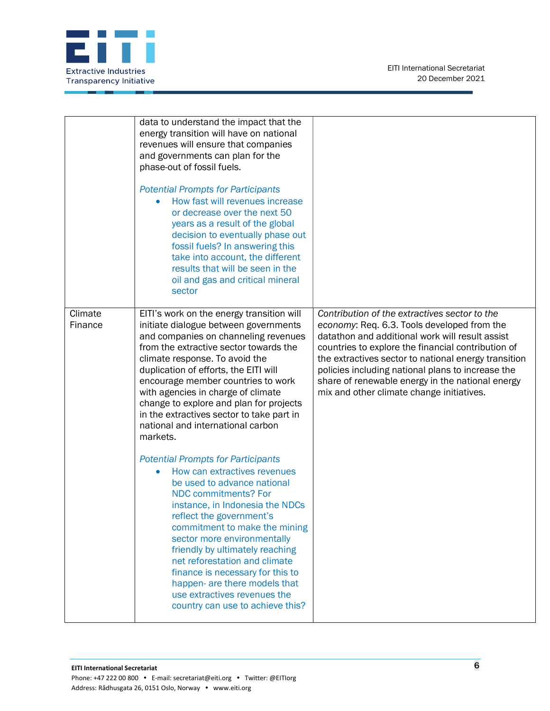

|                    | data to understand the impact that the<br>energy transition will have on national<br>revenues will ensure that companies<br>and governments can plan for the<br>phase-out of fossil fuels.<br><b>Potential Prompts for Participants</b><br>How fast will revenues increase<br>or decrease over the next 50<br>years as a result of the global<br>decision to eventually phase out<br>fossil fuels? In answering this<br>take into account, the different<br>results that will be seen in the<br>oil and gas and critical mineral<br>sector |                                                                                                                                                                                                                                                                                                                                                                                                                     |
|--------------------|--------------------------------------------------------------------------------------------------------------------------------------------------------------------------------------------------------------------------------------------------------------------------------------------------------------------------------------------------------------------------------------------------------------------------------------------------------------------------------------------------------------------------------------------|---------------------------------------------------------------------------------------------------------------------------------------------------------------------------------------------------------------------------------------------------------------------------------------------------------------------------------------------------------------------------------------------------------------------|
| Climate<br>Finance | EITI's work on the energy transition will<br>initiate dialogue between governments<br>and companies on channeling revenues<br>from the extractive sector towards the<br>climate response. To avoid the<br>duplication of efforts, the EITI will<br>encourage member countries to work<br>with agencies in charge of climate<br>change to explore and plan for projects<br>in the extractives sector to take part in<br>national and international carbon<br>markets.                                                                       | Contribution of the extractives sector to the<br>economy: Req. 6.3. Tools developed from the<br>datathon and additional work will result assist<br>countries to explore the financial contribution of<br>the extractives sector to national energy transition<br>policies including national plans to increase the<br>share of renewable energy in the national energy<br>mix and other climate change initiatives. |
|                    | <b>Potential Prompts for Participants</b><br>How can extractives revenues<br>be used to advance national<br><b>NDC commitments? For</b><br>instance, in Indonesia the NDCs<br>reflect the government's<br>commitment to make the mining<br>sector more environmentally<br>friendly by ultimately reaching<br>net reforestation and climate<br>finance is necessary for this to<br>happen- are there models that<br>use extractives revenues the<br>country can use to achieve this?                                                        |                                                                                                                                                                                                                                                                                                                                                                                                                     |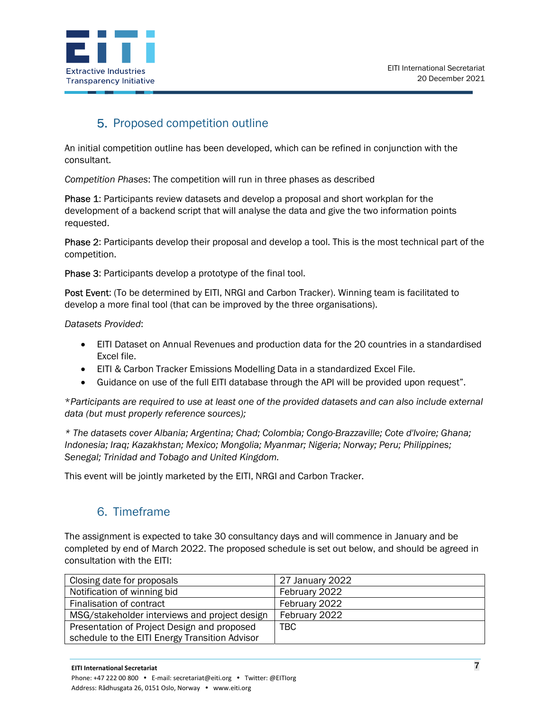

## 5. Proposed competition outline

An initial competition outline has been developed, which can be refined in conjunction with the consultant.

Competition Phases: The competition will run in three phases as described

Phase 1: Participants review datasets and develop a proposal and short workplan for the development of a backend script that will analyse the data and give the two information points requested.

Phase 2: Participants develop their proposal and develop a tool. This is the most technical part of the competition.

Phase 3: Participants develop a prototype of the final tool.

Post Event: (To be determined by EITI, NRGI and Carbon Tracker). Winning team is facilitated to develop a more final tool (that can be improved by the three organisations).

Datasets Provided:

- EITI Dataset on Annual Revenues and production data for the 20 countries in a standardised Excel file.
- EITI & Carbon Tracker Emissions Modelling Data in a standardized Excel File.
- Guidance on use of the full EITI database through the API will be provided upon request".

\*Participants are required to use at least one of the provided datasets and can also include external data (but must properly reference sources);

\* The datasets cover Albania; Argentina; Chad; Colombia; Congo-Brazzaville; Cote d'Ivoire; Ghana; Indonesia; Iraq; Kazakhstan; Mexico; Mongolia; Myanmar; Nigeria; Norway; Peru; Philippines; Senegal; Trinidad and Tobago and United Kingdom.

This event will be jointly marketed by the EITI, NRGI and Carbon Tracker.

### 6. Timeframe

The assignment is expected to take 30 consultancy days and will commence in January and be completed by end of March 2022. The proposed schedule is set out below, and should be agreed in consultation with the EITI:

| Closing date for proposals                     | 27 January 2022 |
|------------------------------------------------|-----------------|
| Notification of winning bid                    | February 2022   |
| Finalisation of contract                       | February 2022   |
| MSG/stakeholder interviews and project design  | February 2022   |
| Presentation of Project Design and proposed    | TBC             |
| schedule to the EITI Energy Transition Advisor |                 |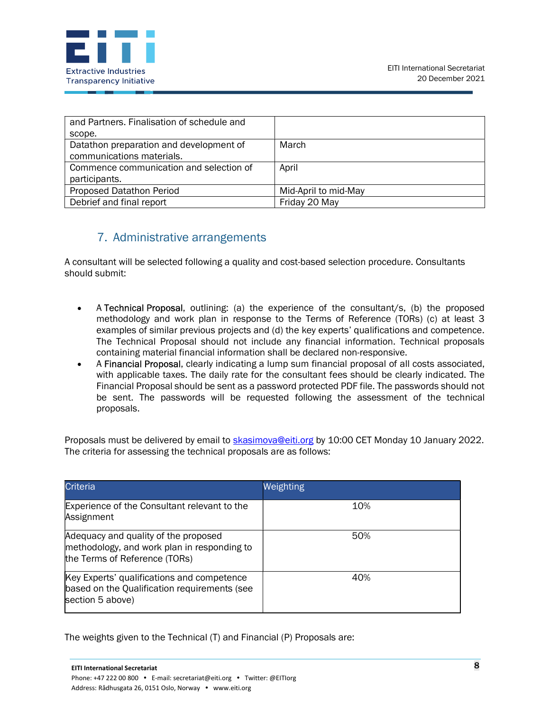

| and Partners. Finalisation of schedule and |                      |
|--------------------------------------------|----------------------|
| scope.                                     |                      |
| Datathon preparation and development of    | March                |
| communications materials.                  |                      |
| Commence communication and selection of    | April                |
| participants.                              |                      |
| Proposed Datathon Period                   | Mid-April to mid-May |
| Debrief and final report                   | Friday 20 May        |

#### 7. Administrative arrangements

A consultant will be selected following a quality and cost-based selection procedure. Consultants should submit:

- A Technical Proposal, outlining: (a) the experience of the consultant/s, (b) the proposed methodology and work plan in response to the Terms of Reference (TORs) (c) at least 3 examples of similar previous projects and (d) the key experts' qualifications and competence. The Technical Proposal should not include any financial information. Technical proposals containing material financial information shall be declared non-responsive.
- A Financial Proposal, clearly indicating a lump sum financial proposal of all costs associated, with applicable taxes. The daily rate for the consultant fees should be clearly indicated. The Financial Proposal should be sent as a password protected PDF file. The passwords should not be sent. The passwords will be requested following the assessment of the technical proposals.

Proposals must be delivered by email to skasimova@eiti.org by 10:00 CET Monday 10 January 2022. The criteria for assessing the technical proposals are as follows:

| <b>Criteria</b>                                                                                                      | Weighting |
|----------------------------------------------------------------------------------------------------------------------|-----------|
| Experience of the Consultant relevant to the<br>Assignment                                                           | 10%       |
| Adequacy and quality of the proposed<br>methodology, and work plan in responding to<br>the Terms of Reference (TORs) | 50%       |
| Key Experts' qualifications and competence<br>based on the Qualification requirements (see<br>section 5 above)       | 40%       |

The weights given to the Technical (T) and Financial (P) Proposals are: